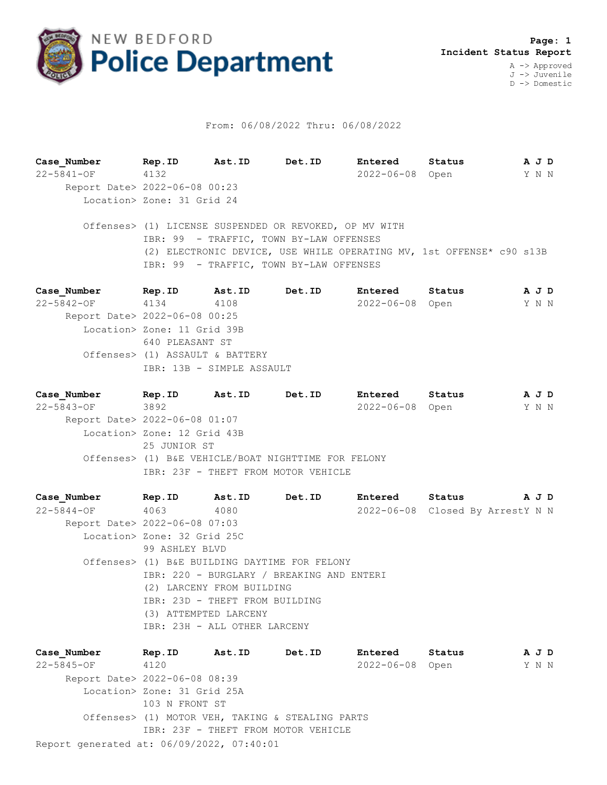

## From: 06/08/2022 Thru: 06/08/2022

**Case\_Number Rep.ID Ast.ID Det.ID Entered Status A J D** 22-5841-OF 4132 2022-06-08 Open Y N N Report Date> 2022-06-08 00:23 Location> Zone: 31 Grid 24 Offenses> (1) LICENSE SUSPENDED OR REVOKED, OP MV WITH IBR: 99 - TRAFFIC, TOWN BY-LAW OFFENSES (2) ELECTRONIC DEVICE, USE WHILE OPERATING MV, 1st OFFENSE\* c90 s13B IBR: 99 - TRAFFIC, TOWN BY-LAW OFFENSES **Case\_Number Rep.ID Ast.ID Det.ID Entered Status A J D** 22-5842-OF 4134 4108 2022-06-08 Open Y N N Report Date> 2022-06-08 00:25

 Location> Zone: 11 Grid 39B 640 PLEASANT ST Offenses> (1) ASSAULT & BATTERY IBR: 13B - SIMPLE ASSAULT

**Case\_Number Rep.ID Ast.ID Det.ID Entered Status A J D** 22-5843-OF 3892 2022-06-08 Open Y N N Report Date> 2022-06-08 01:07 Location> Zone: 12 Grid 43B 25 JUNIOR ST Offenses> (1) B&E VEHICLE/BOAT NIGHTTIME FOR FELONY IBR: 23F - THEFT FROM MOTOR VEHICLE

**Case\_Number Rep.ID Ast.ID Det.ID Entered Status A J D** 22-5844-OF 4063 4080 2022-06-08 Closed By ArrestY N N Report Date> 2022-06-08 07:03 Location> Zone: 32 Grid 25C 99 ASHLEY BLVD Offenses> (1) B&E BUILDING DAYTIME FOR FELONY IBR: 220 - BURGLARY / BREAKING AND ENTERI (2) LARCENY FROM BUILDING IBR: 23D - THEFT FROM BUILDING (3) ATTEMPTED LARCENY IBR: 23H - ALL OTHER LARCENY

Report generated at: 06/09/2022, 07:40:01 **Case\_Number Rep.ID Ast.ID Det.ID Entered Status A J D** 22-5845-OF 4120 2022-06-08 Open Y N N Report Date> 2022-06-08 08:39 Location> Zone: 31 Grid 25A 103 N FRONT ST Offenses> (1) MOTOR VEH, TAKING & STEALING PARTS IBR: 23F - THEFT FROM MOTOR VEHICLE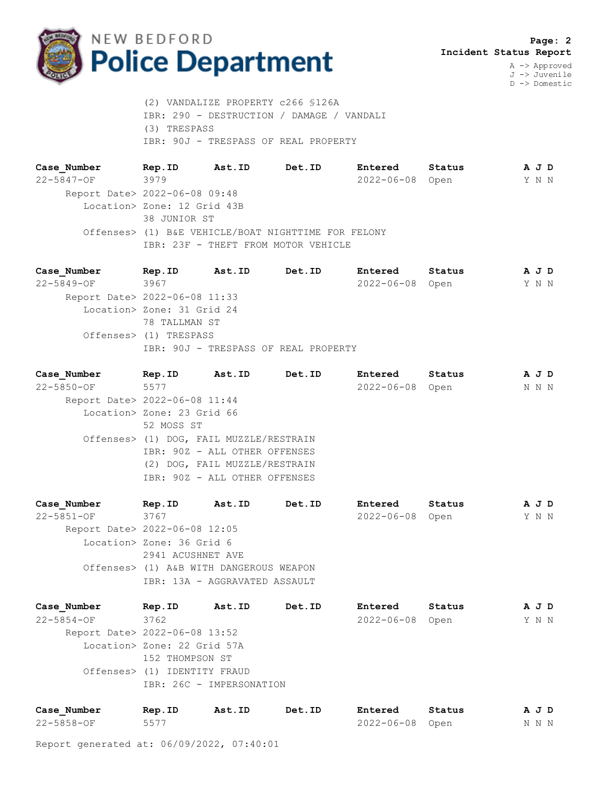

A -> Approved J -> Juvenile D -> Domestic

 (2) VANDALIZE PROPERTY c266 §126A IBR: 290 - DESTRUCTION / DAMAGE / VANDALI (3) TRESPASS IBR: 90J - TRESPASS OF REAL PROPERTY

**Case\_Number Rep.ID Ast.ID Det.ID Entered Status A J D** 22-5847-OF 3979 2022-06-08 Open Y N N Report Date> 2022-06-08 09:48 Location> Zone: 12 Grid 43B 38 JUNIOR ST Offenses> (1) B&E VEHICLE/BOAT NIGHTTIME FOR FELONY IBR: 23F - THEFT FROM MOTOR VEHICLE

**Case\_Number Rep.ID Ast.ID Det.ID Entered Status A J D** 22-5849-OF 3967 2022-06-08 Open Y N N Report Date> 2022-06-08 11:33 Location> Zone: 31 Grid 24 78 TALLMAN ST Offenses> (1) TRESPASS IBR: 90J - TRESPASS OF REAL PROPERTY

| Case Number                   | Rep.ID                     | Ast.ID                                  | Det.ID | Entered          | Status | A J D |  |
|-------------------------------|----------------------------|-----------------------------------------|--------|------------------|--------|-------|--|
| $22 - 5850 - OF$              | 5577                       |                                         |        | $2022 - 06 - 08$ | Open   | N N N |  |
| Report Date> 2022-06-08 11:44 |                            |                                         |        |                  |        |       |  |
|                               | Location> Zone: 23 Grid 66 |                                         |        |                  |        |       |  |
|                               | 52 MOSS ST                 |                                         |        |                  |        |       |  |
|                               |                            | Offenses> (1) DOG, FAIL MUZZLE/RESTRAIN |        |                  |        |       |  |
|                               |                            | IBR: 90Z - ALL OTHER OFFENSES           |        |                  |        |       |  |
|                               |                            | (2) DOG, FAIL MUZZLE/RESTRAIN           |        |                  |        |       |  |
|                               |                            | IBR: 90Z - ALL OTHER OFFENSES           |        |                  |        |       |  |
|                               |                            |                                         |        |                  |        |       |  |

**Case\_Number Rep.ID Ast.ID Det.ID Entered Status A J D** 22-5851-OF 3767 2022-06-08 Open Y N N Report Date> 2022-06-08 12:05 Location> Zone: 36 Grid 6 2941 ACUSHNET AVE Offenses> (1) A&B WITH DANGEROUS WEAPON IBR: 13A - AGGRAVATED ASSAULT

| Case Number                   | Rep.ID                       | Ast.ID | Det.ID | Entered          | Status | A J D |  |
|-------------------------------|------------------------------|--------|--------|------------------|--------|-------|--|
| $22 - 5854 - 0F$              | 3762                         |        |        | $2022 - 06 - 08$ | Open   | Y N N |  |
| Report Date> 2022-06-08 13:52 |                              |        |        |                  |        |       |  |
|                               | Location> Zone: 22 Grid 57A  |        |        |                  |        |       |  |
|                               | 152 THOMPSON ST              |        |        |                  |        |       |  |
|                               | Offenses> (1) IDENTITY FRAUD |        |        |                  |        |       |  |
|                               | IBR: 26C - IMPERSONATION     |        |        |                  |        |       |  |
|                               |                              |        |        |                  |        |       |  |

| Case Number | Rep.ID | Ast.ID | Det.ID | Entered         | Status | AJD   |  |
|-------------|--------|--------|--------|-----------------|--------|-------|--|
| 22-5858-OF  | 5577   |        |        | 2022-06-08 Open |        | N N N |  |

Report generated at: 06/09/2022, 07:40:01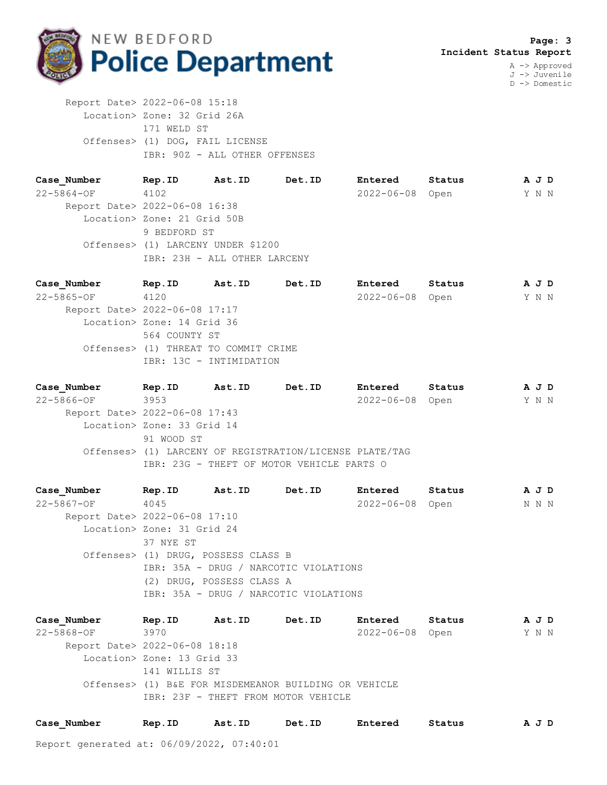

J -> Juvenile D -> Domestic

 Report Date> 2022-06-08 15:18 Location> Zone: 32 Grid 26A 171 WELD ST Offenses> (1) DOG, FAIL LICENSE IBR: 90Z - ALL OTHER OFFENSES

**Case\_Number Rep.ID Ast.ID Det.ID Entered Status A J D** 22-5864-OF 4102 2022-06-08 Open Y N N Report Date> 2022-06-08 16:38 Location> Zone: 21 Grid 50B 9 BEDFORD ST Offenses> (1) LARCENY UNDER \$1200 IBR: 23H - ALL OTHER LARCENY

**Case\_Number Rep.ID Ast.ID Det.ID Entered Status A J D** 22-5865-OF 4120 2022-06-08 Open Y N N Report Date> 2022-06-08 17:17 Location> Zone: 14 Grid 36 564 COUNTY ST Offenses> (1) THREAT TO COMMIT CRIME IBR: 13C - INTIMIDATION

**Case\_Number Rep.ID Ast.ID Det.ID Entered Status A J D** 22-5866-OF 3953 2022-06-08 Open Y N N Report Date> 2022-06-08 17:43 Location> Zone: 33 Grid 14 91 WOOD ST Offenses> (1) LARCENY OF REGISTRATION/LICENSE PLATE/TAG IBR: 23G - THEFT OF MOTOR VEHICLE PARTS O

**Case\_Number Rep.ID Ast.ID Det.ID Entered Status A J D** 22-5867-OF 4045 2022-06-08 Open N N N Report Date> 2022-06-08 17:10 Location> Zone: 31 Grid 24 37 NYE ST Offenses> (1) DRUG, POSSESS CLASS B IBR: 35A - DRUG / NARCOTIC VIOLATIONS (2) DRUG, POSSESS CLASS A IBR: 35A - DRUG / NARCOTIC VIOLATIONS

**Case\_Number Rep.ID Ast.ID Det.ID Entered Status A J D** 22-5868-OF 3970 2022-06-08 Open Y N N Report Date> 2022-06-08 18:18 Location> Zone: 13 Grid 33 141 WILLIS ST Offenses> (1) B&E FOR MISDEMEANOR BUILDING OR VEHICLE IBR: 23F - THEFT FROM MOTOR VEHICLE

| Case Number | Rep.ID | Ast.ID | Det.ID | Entered | Status | AJD |
|-------------|--------|--------|--------|---------|--------|-----|
|-------------|--------|--------|--------|---------|--------|-----|